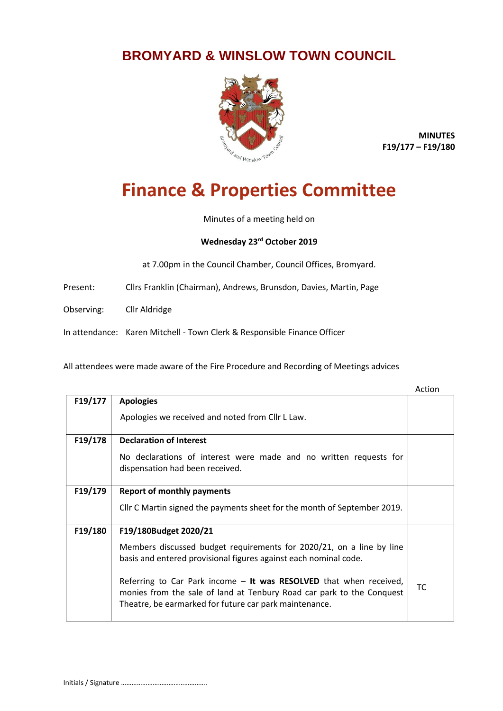## **BROMYARD & WINSLOW TOWN COUNCIL**



**MINUTES F19/177 – F19/180**

## **Finance & Properties Committee**

Minutes of a meeting held on

## **Wednesday 23rd October 2019**

at 7.00pm in the Council Chamber, Council Offices, Bromyard.

Present: Cllrs Franklin (Chairman), Andrews, Brunsdon, Davies, Martin, Page

Observing: Cllr Aldridge

In attendance: Karen Mitchell - Town Clerk & Responsible Finance Officer

All attendees were made aware of the Fire Procedure and Recording of Meetings advices

|         |                                                                                                                                                                                                       | Action    |
|---------|-------------------------------------------------------------------------------------------------------------------------------------------------------------------------------------------------------|-----------|
| F19/177 | <b>Apologies</b>                                                                                                                                                                                      |           |
|         | Apologies we received and noted from Cllr L Law.                                                                                                                                                      |           |
| F19/178 | <b>Declaration of Interest</b>                                                                                                                                                                        |           |
|         | No declarations of interest were made and no written requests for<br>dispensation had been received.                                                                                                  |           |
| F19/179 | <b>Report of monthly payments</b>                                                                                                                                                                     |           |
|         | Cllr C Martin signed the payments sheet for the month of September 2019.                                                                                                                              |           |
| F19/180 | F19/180Budget 2020/21                                                                                                                                                                                 |           |
|         | Members discussed budget requirements for 2020/21, on a line by line<br>basis and entered provisional figures against each nominal code.                                                              |           |
|         | Referring to Car Park income - It was RESOLVED that when received,<br>monies from the sale of land at Tenbury Road car park to the Conquest<br>Theatre, be earmarked for future car park maintenance. | <b>TC</b> |